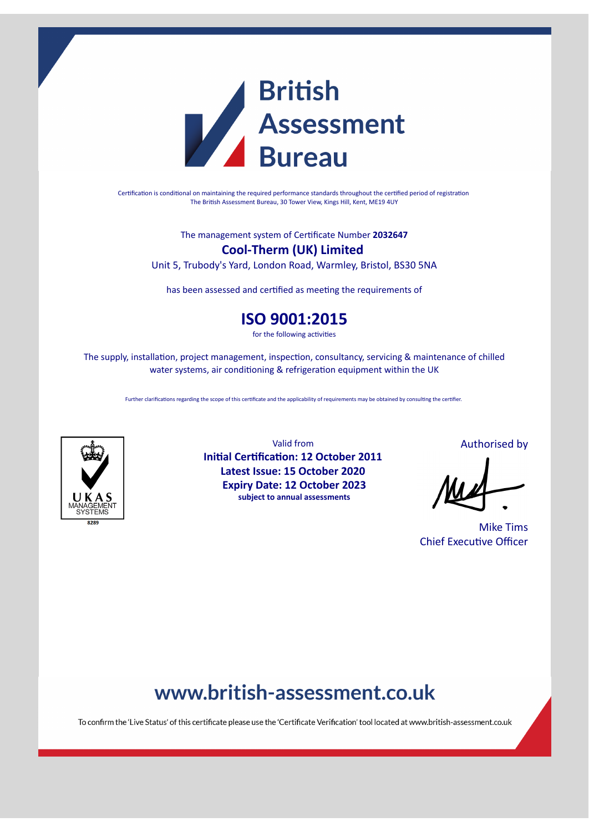

Certification is conditional on maintaining the required performance standards throughout the certified period of registration The British Assessment Bureau, 30 Tower View, Kings Hill, Kent, ME19 4UY

The management system of Cerficate Number **2032647**

### **Cool-Therm (UK) Limited**

Unit 5, Trubody's Yard, London Road, Warmley, Bristol, BS30 5NA

has been assessed and certified as meeting the requirements of

## **ISO 9001:2015**

for the following activities

The supply, installation, project management, inspection, consultancy, servicing & maintenance of chilled water systems, air conditioning & refrigeration equipment within the UK

Further clarifications regarding the scope of this certificate and the applicability of requirements may be obtained by consulting the certifier.



Valid from **Initial Certification: 12 October 2011 Latest Issue: 15 October 2020 Expiry Date: 12 October 2023 subject to annual assessments**

Authorised by

Mike Tims Chief Executive Officer

# www.british-assessment.co.uk

To confirm the 'Live Status' of this certificate please use the 'Certificate Verification' tool located at www.british-assessment.co.uk